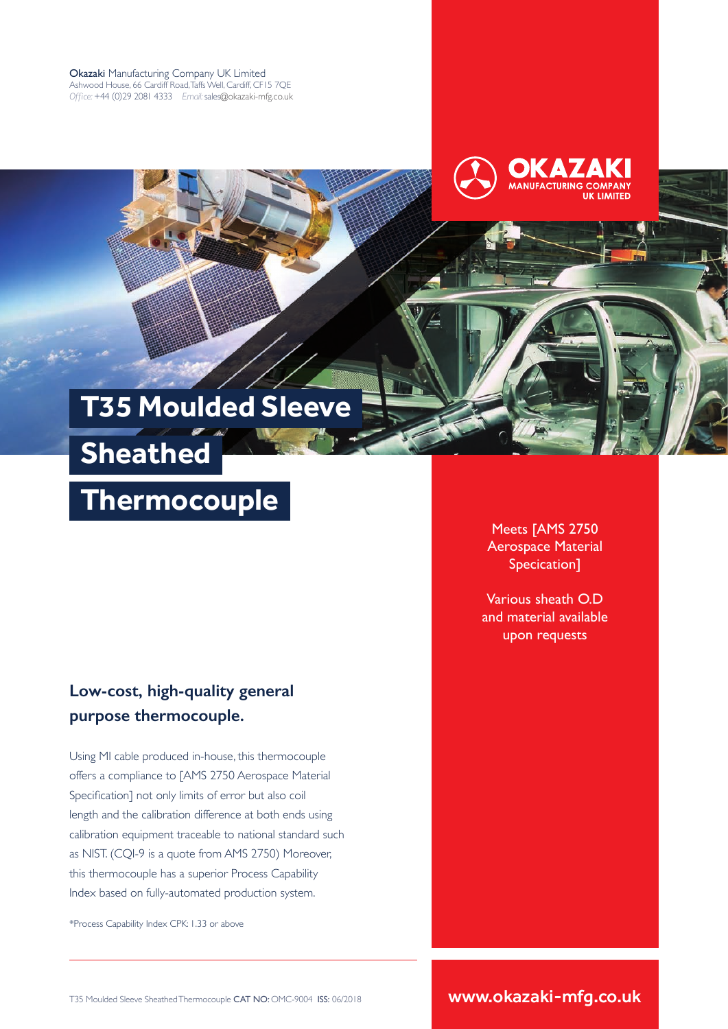Okazaki Manufacturing Company UK Limited Ashwood House, 66 Cardiff Road, Taffs Well, Cardiff, CF15 7QE *Office:* +44 (0)29 2081 4333 *Email:* sales@okazaki-mfg.co.uk



# **T35 Moulded Sleeve**

 **Sheathed** 

## **Thermocouple**

#### **Low-cost, high-quality general purpose thermocouple.**

Using MI cable produced in-house, this thermocouple offers a compliance to [AMS 2750 Aerospace Material Specification] not only limits of error but also coil length and the calibration difference at both ends using calibration equipment traceable to national standard such as NIST. (CQI-9 is a quote from AMS 2750) Moreover, this thermocouple has a superior Process Capability Index based on fully-automated production system.

\*Process Capability Index CPK: 1.33 or above

Meets [AMS 2750 Aerospace Material Specication]

Various sheath O.D and material available upon requests

www.okazaki-mfg.co.uk